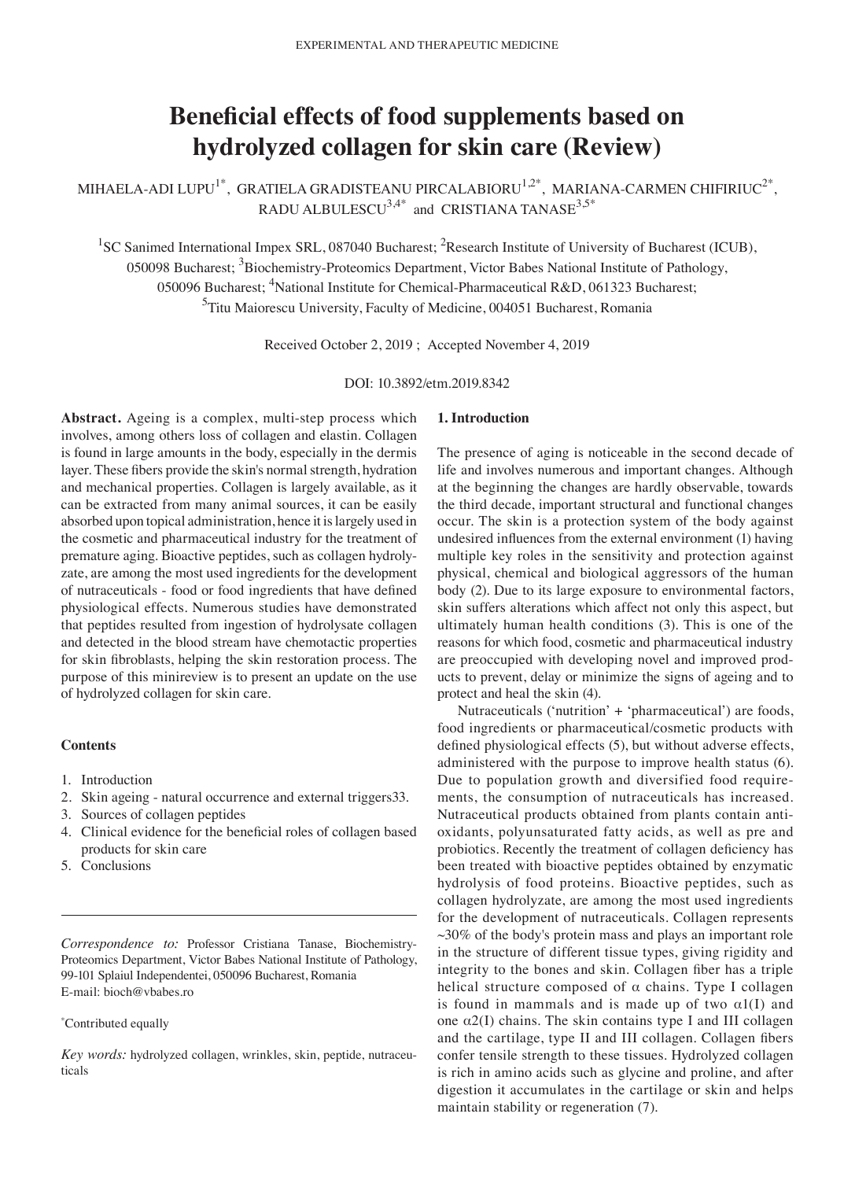# **Beneficial effects of food supplements based on hydrolyzed collagen for skin care (Review)**

MIHAELA-ADI LUPU<sup>1\*</sup>, GRATIELA GRADISTEANU PIRCALABIORU<sup>1,2\*</sup>, MARIANA-CARMEN CHIFIRIUC<sup>2\*</sup>, RADU ALBULESCU $^{3,4^*}$  and CRISTIANA TANASE $^{3,5^*}$ 

<sup>1</sup>SC Sanimed International Impex SRL, 087040 Bucharest; <sup>2</sup>Research Institute of University of Bucharest (ICUB), 050098 Bucharest; <sup>3</sup>Biochemistry-Proteomics Department, Victor Babes National Institute of Pathology, 050096 Bucharest; <sup>4</sup>National Institute for Chemical-Pharmaceutical R&D, 061323 Bucharest; <sup>5</sup>Titu Maiorescu University, Faculty of Medicine, 004051 Bucharest, Romania

Received October 2, 2019 ; Accepted November 4, 2019

DOI: 10.3892/etm.2019.8342

Abstract. Ageing is a complex, multi-step process which involves, among others loss of collagen and elastin. Collagen is found in large amounts in the body, especially in the dermis layer. These fibers provide the skin's normal strength, hydration and mechanical properties. Collagen is largely available, as it can be extracted from many animal sources, it can be easily absorbed upon topical administration, hence it is largely used in the cosmetic and pharmaceutical industry for the treatment of premature aging. Bioactive peptides, such as collagen hydrolyzate, are among the most used ingredients for the development of nutraceuticals ‑ food or food ingredients that have defined physiological effects. Numerous studies have demonstrated that peptides resulted from ingestion of hydrolysate collagen and detected in the blood stream have chemotactic properties for skin fibroblasts, helping the skin restoration process. The purpose of this minireview is to present an update on the use of hydrolyzed collagen for skin care.

# **Contents**

- 1. Introduction
- 2. Skin ageing ‑ natural occurrence and external triggers33.
- 3. Sources of collagen peptides
- 4. Clinical evidence for the beneficial roles of collagen based products for skin care
- 5. Conclusions

*Correspondence to:* Professor Cristiana Tanase, Biochemistry‑ Proteomics Department, Victor Babes National Institute of Pathology, 99‑101 Splaiul Independentei, 050096 Bucharest, Romania E‑mail: bioch@vbabes.ro

#### \* Contributed equally

*Key words:* hydrolyzed collagen, wrinkles, skin, peptide, nutraceu‑ ticals

## **1. Introduction**

The presence of aging is noticeable in the second decade of life and involves numerous and important changes. Although at the beginning the changes are hardly observable, towards the third decade, important structural and functional changes occur. The skin is a protection system of the body against undesired influences from the external environment (1) having multiple key roles in the sensitivity and protection against physical, chemical and biological aggressors of the human body (2). Due to its large exposure to environmental factors, skin suffers alterations which affect not only this aspect, but ultimately human health conditions (3). This is one of the reasons for which food, cosmetic and pharmaceutical industry are preoccupied with developing novel and improved products to prevent, delay or minimize the signs of ageing and to protect and heal the skin (4).

Nutraceuticals ('nutrition' + 'pharmaceutical') are foods, food ingredients or pharmaceutical/cosmetic products with defined physiological effects (5), but without adverse effects, administered with the purpose to improve health status (6). Due to population growth and diversified food requirements, the consumption of nutraceuticals has increased. Nutraceutical products obtained from plants contain antioxidants, polyunsaturated fatty acids, as well as pre and probiotics. Recently the treatment of collagen deficiency has been treated with bioactive peptides obtained by enzymatic hydrolysis of food proteins. Bioactive peptides, such as collagen hydrolyzate, are among the most used ingredients for the development of nutraceuticals. Collagen represents  $\sim$ 30% of the body's protein mass and plays an important role in the structure of different tissue types, giving rigidity and integrity to the bones and skin. Collagen fiber has a triple helical structure composed of  $\alpha$  chains. Type I collagen is found in mammals and is made up of two  $\alpha1(I)$  and one  $\alpha$ 2(I) chains. The skin contains type I and III collagen and the cartilage, type II and III collagen. Collagen fibers confer tensile strength to these tissues. Hydrolyzed collagen is rich in amino acids such as glycine and proline, and after digestion it accumulates in the cartilage or skin and helps maintain stability or regeneration (7).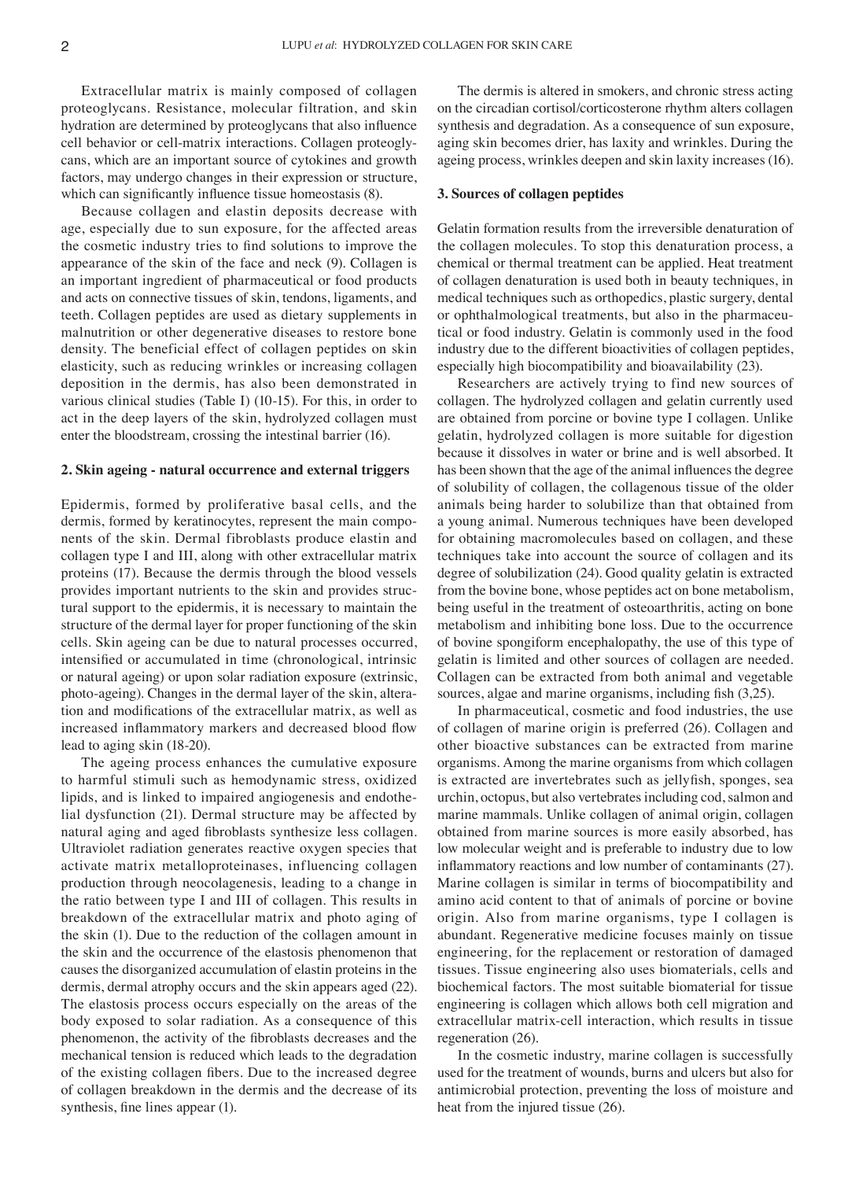Extracellular matrix is mainly composed of collagen proteoglycans. Resistance, molecular filtration, and skin hydration are determined by proteoglycans that also influence cell behavior or cell-matrix interactions. Collagen proteoglycans, which are an important source of cytokines and growth factors, may undergo changes in their expression or structure, which can significantly influence tissue homeostasis  $(8)$ .

Because collagen and elastin deposits decrease with age, especially due to sun exposure, for the affected areas the cosmetic industry tries to find solutions to improve the appearance of the skin of the face and neck (9). Collagen is an important ingredient of pharmaceutical or food products and acts on connective tissues of skin, tendons, ligaments, and teeth. Collagen peptides are used as dietary supplements in malnutrition or other degenerative diseases to restore bone density. The beneficial effect of collagen peptides on skin elasticity, such as reducing wrinkles or increasing collagen deposition in the dermis, has also been demonstrated in various clinical studies (Table I) (10‑15). For this, in order to act in the deep layers of the skin, hydrolyzed collagen must enter the bloodstream, crossing the intestinal barrier (16).

#### **2. Skin ageing ‑ natural occurrence and external triggers**

Epidermis, formed by proliferative basal cells, and the dermis, formed by keratinocytes, represent the main components of the skin. Dermal fibroblasts produce elastin and collagen type I and III, along with other extracellular matrix proteins (17). Because the dermis through the blood vessels provides important nutrients to the skin and provides structural support to the epidermis, it is necessary to maintain the structure of the dermal layer for proper functioning of the skin cells. Skin ageing can be due to natural processes occurred, intensified or accumulated in time (chronological, intrinsic or natural ageing) or upon solar radiation exposure (extrinsic, photo-ageing). Changes in the dermal layer of the skin, alteration and modifications of the extracellular matrix, as well as increased inflammatory markers and decreased blood flow lead to aging skin (18‑20).

The ageing process enhances the cumulative exposure to harmful stimuli such as hemodynamic stress, oxidized lipids, and is linked to impaired angiogenesis and endothelial dysfunction (21). Dermal structure may be affected by natural aging and aged fibroblasts synthesize less collagen. Ultraviolet radiation generates reactive oxygen species that activate matrix metalloproteinases, influencing collagen production through neocolagenesis, leading to a change in the ratio between type I and III of collagen. This results in breakdown of the extracellular matrix and photo aging of the skin (1). Due to the reduction of the collagen amount in the skin and the occurrence of the elastosis phenomenon that causes the disorganized accumulation of elastin proteins in the dermis, dermal atrophy occurs and the skin appears aged (22). The elastosis process occurs especially on the areas of the body exposed to solar radiation. As a consequence of this phenomenon, the activity of the fibroblasts decreases and the mechanical tension is reduced which leads to the degradation of the existing collagen fibers. Due to the increased degree of collagen breakdown in the dermis and the decrease of its synthesis, fine lines appear (1).

The dermis is altered in smokers, and chronic stress acting on the circadian cortisol/corticosterone rhythm alters collagen synthesis and degradation. As a consequence of sun exposure, aging skin becomes drier, has laxity and wrinkles. During the ageing process, wrinkles deepen and skin laxity increases (16).

#### **3. Sources of collagen peptides**

Gelatin formation results from the irreversible denaturation of the collagen molecules. To stop this denaturation process, a chemical or thermal treatment can be applied. Heat treatment of collagen denaturation is used both in beauty techniques, in medical techniques such as orthopedics, plastic surgery, dental or ophthalmological treatments, but also in the pharmaceutical or food industry. Gelatin is commonly used in the food industry due to the different bioactivities of collagen peptides, especially high biocompatibility and bioavailability (23).

Researchers are actively trying to find new sources of collagen. The hydrolyzed collagen and gelatin currently used are obtained from porcine or bovine type I collagen. Unlike gelatin, hydrolyzed collagen is more suitable for digestion because it dissolves in water or brine and is well absorbed. It has been shown that the age of the animal influences the degree of solubility of collagen, the collagenous tissue of the older animals being harder to solubilize than that obtained from a young animal. Numerous techniques have been developed for obtaining macromolecules based on collagen, and these techniques take into account the source of collagen and its degree of solubilization (24). Good quality gelatin is extracted from the bovine bone, whose peptides act on bone metabolism, being useful in the treatment of osteoarthritis, acting on bone metabolism and inhibiting bone loss. Due to the occurrence of bovine spongiform encephalopathy, the use of this type of gelatin is limited and other sources of collagen are needed. Collagen can be extracted from both animal and vegetable sources, algae and marine organisms, including fish (3,25).

In pharmaceutical, cosmetic and food industries, the use of collagen of marine origin is preferred (26). Collagen and other bioactive substances can be extracted from marine organisms. Among the marine organisms from which collagen is extracted are invertebrates such as jellyfish, sponges, sea urchin, octopus, but also vertebrates including cod, salmon and marine mammals. Unlike collagen of animal origin, collagen obtained from marine sources is more easily absorbed, has low molecular weight and is preferable to industry due to low inflammatory reactions and low number of contaminants (27). Marine collagen is similar in terms of biocompatibility and amino acid content to that of animals of porcine or bovine origin. Also from marine organisms, type I collagen is abundant. Regenerative medicine focuses mainly on tissue engineering, for the replacement or restoration of damaged tissues. Tissue engineering also uses biomaterials, cells and biochemical factors. The most suitable biomaterial for tissue engineering is collagen which allows both cell migration and extracellular matrix‑cell interaction, which results in tissue regeneration (26).

In the cosmetic industry, marine collagen is successfully used for the treatment of wounds, burns and ulcers but also for antimicrobial protection, preventing the loss of moisture and heat from the injured tissue (26).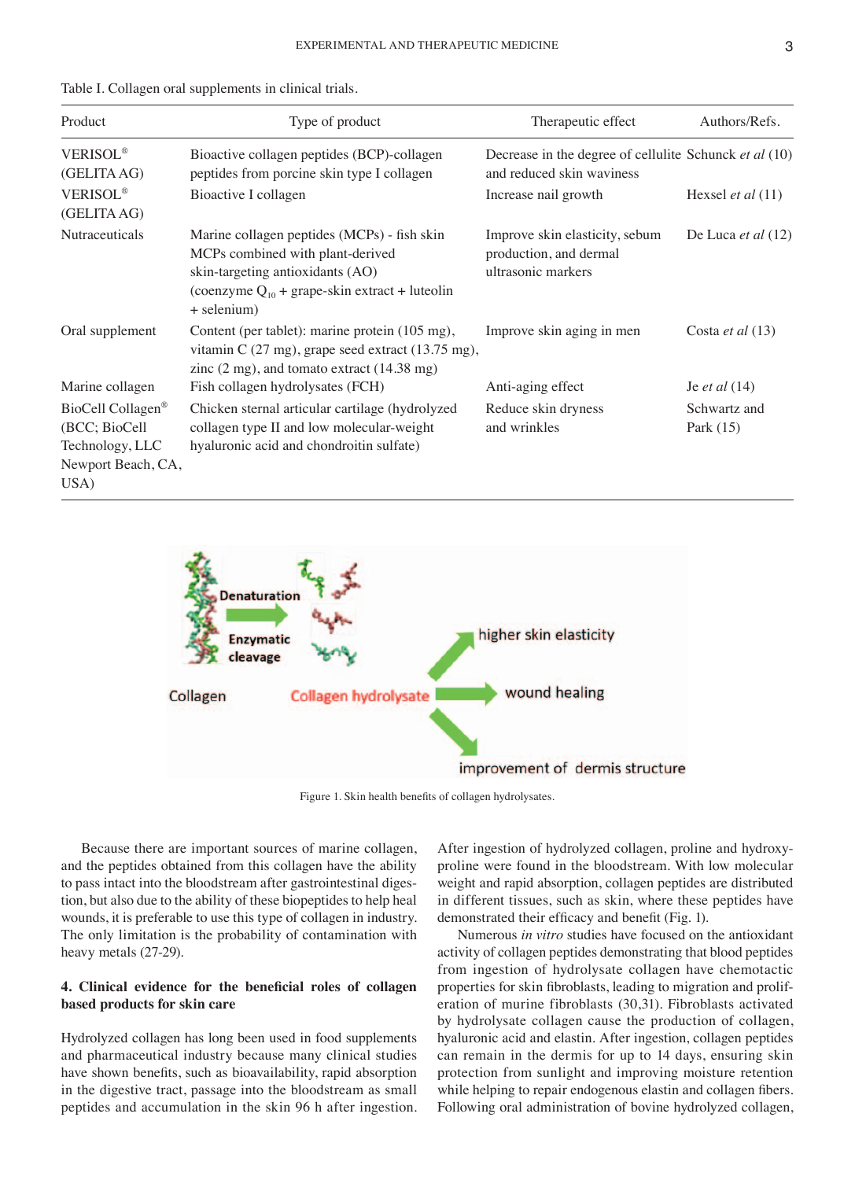|  |  |  |  |  |  |  |  |  |  | Table I. Collagen oral supplements in clinical trials. |  |  |  |  |  |  |  |
|--|--|--|--|--|--|--|--|--|--|--------------------------------------------------------|--|--|--|--|--|--|--|
|--|--|--|--|--|--|--|--|--|--|--------------------------------------------------------|--|--|--|--|--|--|--|

| Product                                                                                  | Type of product                                                                                                                                                                              | Therapeutic effect                                                                  | Authors/Refs.               |
|------------------------------------------------------------------------------------------|----------------------------------------------------------------------------------------------------------------------------------------------------------------------------------------------|-------------------------------------------------------------------------------------|-----------------------------|
| <b>VERISOL®</b><br>(GELITA AG)                                                           | Bioactive collagen peptides (BCP)-collagen<br>peptides from porcine skin type I collagen                                                                                                     | Decrease in the degree of cellulite Schunck et al (10)<br>and reduced skin waviness |                             |
| <b>VERISOL®</b><br>(GELITA AG)                                                           | Bioactive I collagen                                                                                                                                                                         | Increase nail growth                                                                | Hexsel <i>et al</i> $(11)$  |
| Nutraceuticals                                                                           | Marine collagen peptides (MCPs) - fish skin<br>MCPs combined with plant-derived<br>skin-targeting antioxidants (AO)<br>(coenzyme $Q_{10}$ + grape-skin extract + luteolin<br>+ selenium)     | Improve skin elasticity, sebum<br>production, and dermal<br>ultrasonic markers      | De Luca et al (12)          |
| Oral supplement                                                                          | Content (per tablet): marine protein (105 mg),<br>vitamin C $(27 \text{ mg})$ , grape seed extract $(13.75 \text{ mg})$ ,<br>zinc $(2 \text{ mg})$ , and tomato extract $(14.38 \text{ mg})$ | Improve skin aging in men                                                           | Costa <i>et al</i> $(13)$   |
| Marine collagen                                                                          | Fish collagen hydrolysates (FCH)                                                                                                                                                             | Anti-aging effect                                                                   | Je <i>et al</i> $(14)$      |
| BioCell Collagen <sup>®</sup><br>(BCC; BioCell)<br>Technology, LLC<br>Newport Beach, CA, | Chicken sternal articular cartilage (hydrolyzed<br>collagen type II and low molecular-weight<br>hyaluronic acid and chondroitin sulfate)                                                     | Reduce skin dryness<br>and wrinkles                                                 | Schwartz and<br>Park $(15)$ |
| USA)                                                                                     |                                                                                                                                                                                              |                                                                                     |                             |



Figure 1. Skin health benefits of collagen hydrolysates.

Because there are important sources of marine collagen, and the peptides obtained from this collagen have the ability to pass intact into the bloodstream after gastrointestinal digestion, but also due to the ability of these biopeptides to help heal wounds, it is preferable to use this type of collagen in industry. The only limitation is the probability of contamination with heavy metals (27-29).

## **4. Clinical evidence for the beneficial roles of collagen based products for skin care**

Hydrolyzed collagen has long been used in food supplements and pharmaceutical industry because many clinical studies have shown benefits, such as bioavailability, rapid absorption in the digestive tract, passage into the bloodstream as small peptides and accumulation in the skin 96 h after ingestion.

After ingestion of hydrolyzed collagen, proline and hydroxyproline were found in the bloodstream. With low molecular weight and rapid absorption, collagen peptides are distributed in different tissues, such as skin, where these peptides have demonstrated their efficacy and benefit (Fig. 1).

Numerous *in vitro* studies have focused on the antioxidant activity of collagen peptides demonstrating that blood peptides from ingestion of hydrolysate collagen have chemotactic properties for skin fibroblasts, leading to migration and proliferation of murine fibroblasts (30,31). Fibroblasts activated by hydrolysate collagen cause the production of collagen, hyaluronic acid and elastin. After ingestion, collagen peptides can remain in the dermis for up to 14 days, ensuring skin protection from sunlight and improving moisture retention while helping to repair endogenous elastin and collagen fibers. Following oral administration of bovine hydrolyzed collagen,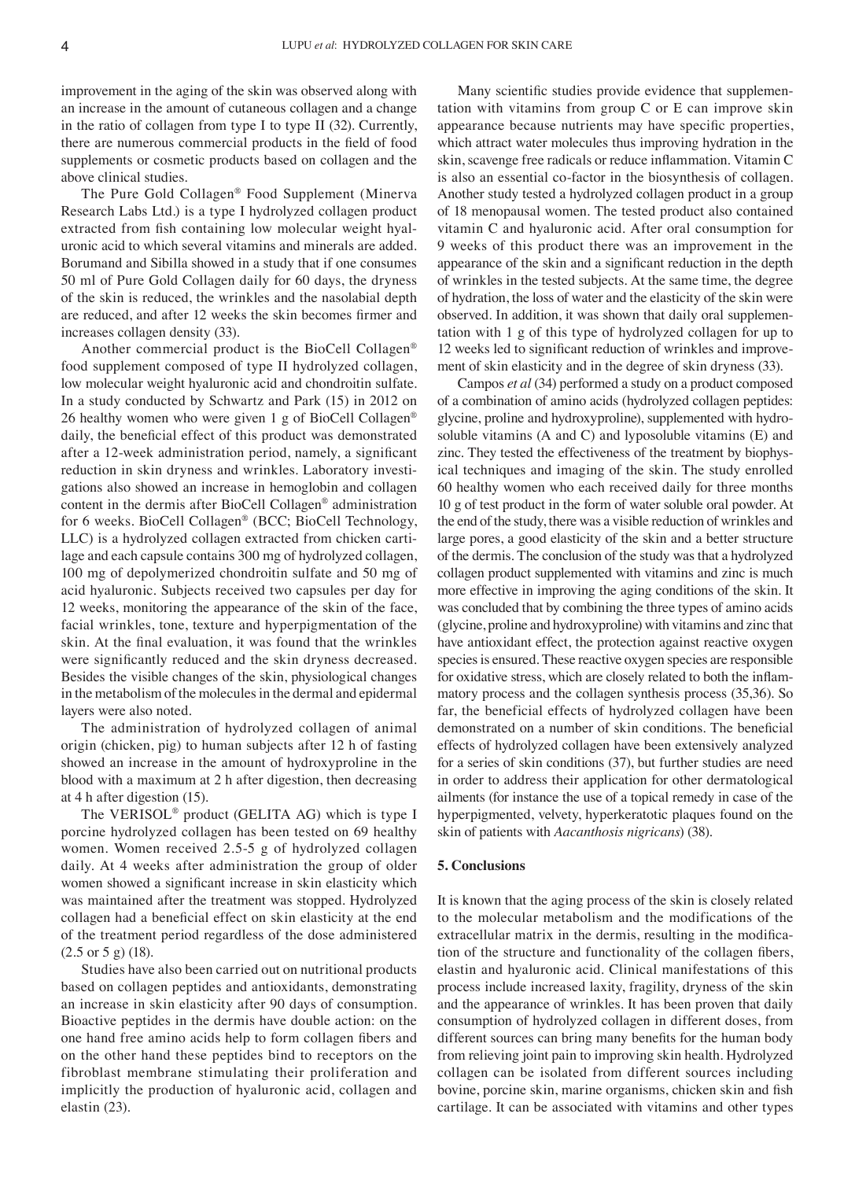improvement in the aging of the skin was observed along with an increase in the amount of cutaneous collagen and a change in the ratio of collagen from type I to type II (32). Currently, there are numerous commercial products in the field of food supplements or cosmetic products based on collagen and the above clinical studies.

The Pure Gold Collagen® Food Supplement (Minerva Research Labs Ltd.) is a type I hydrolyzed collagen product extracted from fish containing low molecular weight hyaluronic acid to which several vitamins and minerals are added. Borumand and Sibilla showed in a study that if one consumes 50 ml of Pure Gold Collagen daily for 60 days, the dryness of the skin is reduced, the wrinkles and the nasolabial depth are reduced, and after 12 weeks the skin becomes firmer and increases collagen density (33).

Another commercial product is the BioCell Collagen® food supplement composed of type II hydrolyzed collagen, low molecular weight hyaluronic acid and chondroitin sulfate. In a study conducted by Schwartz and Park (15) in 2012 on 26 healthy women who were given 1 g of BioCell Collagen® daily, the beneficial effect of this product was demonstrated after a 12‑week administration period, namely, a significant reduction in skin dryness and wrinkles. Laboratory investigations also showed an increase in hemoglobin and collagen content in the dermis after BioCell Collagen® administration for 6 weeks. BioCell Collagen® (BCC; BioCell Technology, LLC) is a hydrolyzed collagen extracted from chicken cartilage and each capsule contains 300 mg of hydrolyzed collagen, 100 mg of depolymerized chondroitin sulfate and 50 mg of acid hyaluronic. Subjects received two capsules per day for 12 weeks, monitoring the appearance of the skin of the face, facial wrinkles, tone, texture and hyperpigmentation of the skin. At the final evaluation, it was found that the wrinkles were significantly reduced and the skin dryness decreased. Besides the visible changes of the skin, physiological changes in the metabolism of the molecules in the dermal and epidermal layers were also noted.

The administration of hydrolyzed collagen of animal origin (chicken, pig) to human subjects after 12 h of fasting showed an increase in the amount of hydroxyproline in the blood with a maximum at 2 h after digestion, then decreasing at 4 h after digestion (15).

The VERISOL® product (GELITA AG) which is type I porcine hydrolyzed collagen has been tested on 69 healthy women. Women received 2.5‑5 g of hydrolyzed collagen daily. At 4 weeks after administration the group of older women showed a significant increase in skin elasticity which was maintained after the treatment was stopped. Hydrolyzed collagen had a beneficial effect on skin elasticity at the end of the treatment period regardless of the dose administered (2.5 or 5 g) (18).

Studies have also been carried out on nutritional products based on collagen peptides and antioxidants, demonstrating an increase in skin elasticity after 90 days of consumption. Bioactive peptides in the dermis have double action: on the one hand free amino acids help to form collagen fibers and on the other hand these peptides bind to receptors on the fibroblast membrane stimulating their proliferation and implicitly the production of hyaluronic acid, collagen and elastin (23).

Many scientific studies provide evidence that supplementation with vitamins from group C or E can improve skin appearance because nutrients may have specific properties, which attract water molecules thus improving hydration in the skin, scavenge free radicals or reduce inflammation. Vitamin C is also an essential co-factor in the biosynthesis of collagen. Another study tested a hydrolyzed collagen product in a group of 18 menopausal women. The tested product also contained vitamin C and hyaluronic acid. After oral consumption for 9 weeks of this product there was an improvement in the appearance of the skin and a significant reduction in the depth of wrinkles in the tested subjects. At the same time, the degree of hydration, the loss of water and the elasticity of the skin were observed. In addition, it was shown that daily oral supplementation with 1 g of this type of hydrolyzed collagen for up to 12 weeks led to significant reduction of wrinkles and improvement of skin elasticity and in the degree of skin dryness (33).

Campos *et al* (34) performed a study on a product composed of a combination of amino acids (hydrolyzed collagen peptides: glycine, proline and hydroxyproline), supplemented with hydrosoluble vitamins (A and C) and lyposoluble vitamins (E) and zinc. They tested the effectiveness of the treatment by biophysical techniques and imaging of the skin. The study enrolled 60 healthy women who each received daily for three months 10 g of test product in the form of water soluble oral powder. At the end of the study, there was a visible reduction of wrinkles and large pores, a good elasticity of the skin and a better structure of the dermis. The conclusion of the study was that a hydrolyzed collagen product supplemented with vitamins and zinc is much more effective in improving the aging conditions of the skin. It was concluded that by combining the three types of amino acids (glycine, proline and hydroxyproline) with vitamins and zinc that have antioxidant effect, the protection against reactive oxygen species is ensured. These reactive oxygen species are responsible for oxidative stress, which are closely related to both the inflammatory process and the collagen synthesis process (35,36). So far, the beneficial effects of hydrolyzed collagen have been demonstrated on a number of skin conditions. The beneficial effects of hydrolyzed collagen have been extensively analyzed for a series of skin conditions (37), but further studies are need in order to address their application for other dermatological ailments (for instance the use of a topical remedy in case of the hyperpigmented, velvety, hyperkeratotic plaques found on the skin of patients with *Aacanthosis nigricans*) (38).

## **5. Conclusions**

It is known that the aging process of the skin is closely related to the molecular metabolism and the modifications of the extracellular matrix in the dermis, resulting in the modification of the structure and functionality of the collagen fibers, elastin and hyaluronic acid. Clinical manifestations of this process include increased laxity, fragility, dryness of the skin and the appearance of wrinkles. It has been proven that daily consumption of hydrolyzed collagen in different doses, from different sources can bring many benefits for the human body from relieving joint pain to improving skin health. Hydrolyzed collagen can be isolated from different sources including bovine, porcine skin, marine organisms, chicken skin and fish cartilage. It can be associated with vitamins and other types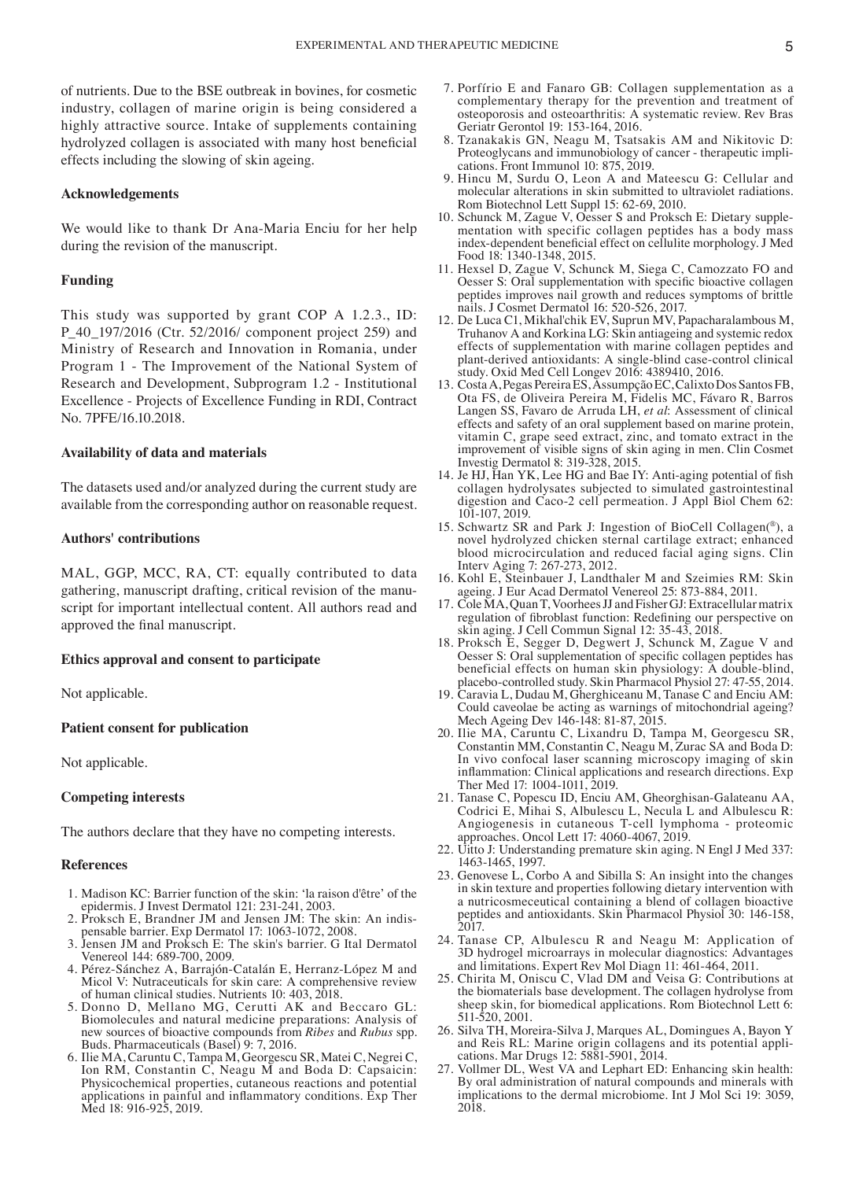of nutrients. Due to the BSE outbreak in bovines, for cosmetic industry, collagen of marine origin is being considered a highly attractive source. Intake of supplements containing hydrolyzed collagen is associated with many host beneficial effects including the slowing of skin ageing.

## **Acknowledgements**

We would like to thank Dr Ana-Maria Enciu for her help during the revision of the manuscript.

#### **Funding**

This study was supported by grant COP A 1.2.3., ID: P\_40\_197/2016 (Ctr. 52/2016/ component project 259) and Ministry of Research and Innovation in Romania, under Program 1 ‑ The Improvement of the National System of Research and Development, Subprogram 1.2 ‑ Institutional Excellence ‑ Projects of Excellence Funding in RDI, Contract No. 7PFE/16.10.2018.

#### **Availability of data and materials**

The datasets used and/or analyzed during the current study are available from the corresponding author on reasonable request.

#### **Authors' contributions**

MAL, GGP, MCC, RA, CT: equally contributed to data gathering, manuscript drafting, critical revision of the manuscript for important intellectual content. All authors read and approved the final manuscript.

## **Ethics approval and consent to participate**

Not applicable.

#### **Patient consent for publication**

Not applicable.

## **Competing interests**

The authors declare that they have no competing interests.

## **References**

- 1. Madison KC: Barrier function of the skin: 'la raison d'être' of the epidermis. J Invest Dermatol 121: 231‑241, 2003.
- 2. Proksch E, Brandner JM and Jensen JM: The skin: An indis‑ pensable barrier. Exp Dermatol 17: 1063‑1072, 2008.
- 3. Jensen JM and Proksch E: The skin's barrier. G Ital Dermatol Venereol 144: 689‑700, 2009.
- 4. Pérez‑Sánchez A, Barrajón‑Catalán E, Herranz‑López M and Micol V: Nutraceuticals for skin care: A comprehensive review of human clinical studies. Nutrients 10: 403, 2018.
- 5. Donno D, Mellano MG, Cerutti AK and Beccaro GL: Biomolecules and natural medicine preparations: Analysis of new sources of bioactive compounds from *Ribes* and *Rubus* spp. Buds. Pharmaceuticals (Basel) 9: 7, 2016.
- 6. Ilie MA, Caruntu C, Tampa M, Georgescu SR, Matei C, Negrei C, Ion RM, Constantin C, Neagu M and Boda D: Capsaicin: Physicochemical properties, cutaneous reactions and potential applications in painful and inflammatory conditions. Exp Ther Med 18: 916‑925, 2019.
- 7. Porfírio E and Fanaro GB: Collagen supplementation as a complementary therapy for the prevention and treatment of osteoporosis and osteoarthritis: A systematic review. Rev Bras Geriatr Gerontol 19: 153‑164, 2016.
- 8. Tzanakakis GN, Neagu M, Tsatsakis AM and Nikitovic D: Proteoglycans and immunobiology of cancer ‑ therapeutic impli‑ cations. Front Immunol 10: 875, 2019.
- 9. Hincu M, Surdu O, Leon A and Mateescu G: Cellular and molecular alterations in skin submitted to ultraviolet radiations. Rom Biotechnol Lett Suppl 15: 62-69, 2010.<br>10. Schunck M, Zague V, Oesser S and Proksch E: Dietary supple-
- mentation with specific collagen peptides has a body mass index‑dependent beneficial effect on cellulite morphology. J Med Food 18: 1340-1348, 2015.
- 11. Hexsel D, Zague V, Schunck M, Siega C, Camozzato FO and Oesser S: Oral supplementation with specific bioactive collagen peptides improves nail growth and reduces symptoms of brittle nails. J Cosmet Dermatol 16: 520‑526, 2017.
- 12. De Luca C1, Mikhal'chik EV, Suprun MV, Papacharalambous M, Truhanov A and Korkina LG: Skin antiageing and systemic redox effects of supplementation with marine collagen peptides and plant‑derived antioxidants: A single‑blind case‑control clinical study. Oxid Med Cell Longev 2016: 4389410, 2016.
- 13. Costa A, Pegas Pereira ES, Assumpção EC, Calixto Dos Santos FB, Ota FS, de Oliveira Pereira M, Fidelis MC, Fávaro R, Barros Langen SS, Favaro de Arruda LH, *et al*: Assessment of clinical effects and safety of an oral supplement based on marine protein, vitamin C, grape seed extract, zinc, and tomato extract in the improvement of visible signs of skin aging in men. Clin Cosmet Investig Dermatol 8: 319‑328, 2015.
- 14. Je HJ, Han YK, Lee HG and Bae IY: Anti‑aging potential of fish collagen hydrolysates subjected to simulated gastrointestinal digestion and Caco-2 cell permeation. J Appl Biol Chem 62: 101‑107, 2019.
- 15. Schwartz SR and Park J: Ingestion of BioCell Collagen(®), a novel hydrolyzed chicken sternal cartilage extract; enhanced blood microcirculation and reduced facial aging signs. Clin Interv Aging 7: 267‑273, 2012.
- 16. Kohl E, Steinbauer J, Landthaler M and Szeimies RM: Skin ageing. J Eur Acad Dermatol Venereol 25: 873‑884, 2011.
- 17. Cole MA, Quan T, Voorhees JJ and Fisher GJ: Extracellular matrix regulation of fibroblast function: Redefining our perspective on skin aging. J Cell Commun Signal 12: 35‑43, 2018.
- 18. Proksch E, Segger D, Degwert J, Schunck M, Zague V and Oesser S: Oral supplementation of specific collagen peptides has beneficial effects on human skin physiology: A double-blind, placebo‑controlled study. Skin Pharmacol Physiol 27: 47‑55, 2014.
- 19. Caravia L, Dudau M, Gherghiceanu M, Tanase C and Enciu AM: Could caveolae be acting as warnings of mitochondrial ageing? Mech Ageing Dev 146-148: 81-87, 2015.
- 20. Ilie MA, Caruntu C, Lixandru D, Tampa M, Georgescu SR, Constantin MM, Constantin C, Neagu M, Zurac SA and Boda D: In vivo confocal laser scanning microscopy imaging of skin inflammation: Clinical applications and research directions. Exp Ther Med 17: 1004-1011, 2019.
- 21. Tanase C, Popescu ID, Enciu AM, Gheorghisan‑Galateanu AA, Codrici E, Mihai S, Albulescu L, Necula L and Albulescu R: Angiogenesis in cutaneous T‑cell lymphoma ‑ proteomic approaches. Oncol Lett 17: 4060‑4067, 2019.
- 22. Uitto J: Understanding premature skin aging. N Engl J Med 337: 1463‑1465, 1997.
- 23. Genovese L, Corbo A and Sibilla S: An insight into the changes in skin texture and properties following dietary intervention with a nutricosmeceutical containing a blend of collagen bioactive peptides and antioxidants. Skin Pharmacol Physiol 30: 146‑158, 2017.
- 24. Tanase CP, Albulescu R and Neagu M: Application of 3D hydrogel microarrays in molecular diagnostics: Advantages and limitations. Expert Rev Mol Diagn 11: 461‑464, 2011.
- 25. Chirita M, Oniscu C, Vlad DM and Veisa G: Contributions at the biomaterials base development. The collagen hydrolyse from sheep skin, for biomedical applications. Rom Biotechnol Lett 6: 511‑520, 2001.
- 26. Silva TH, Moreira‑Silva J, Marques AL, Domingues A, Bayon Y and Reis RL: Marine origin collagens and its potential appli‑ cations. Mar Drugs 12: 5881‑5901, 2014.
- 27. Vollmer DL, West VA and Lephart ED: Enhancing skin health: By oral administration of natural compounds and minerals with implications to the dermal microbiome. Int J Mol Sci 19: 3059, 2018.